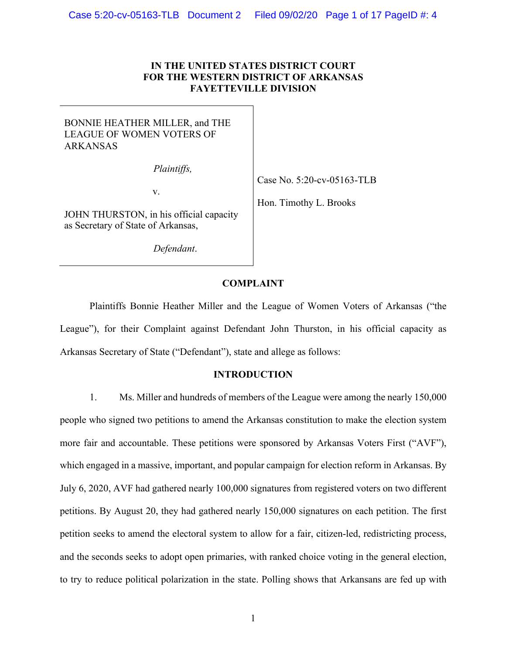## **IN THE UNITED STATES DISTRICT COURT FOR THE WESTERN DISTRICT OF ARKANSAS FAYETTEVILLE DIVISION**

# BONNIE HEATHER MILLER, and THE LEAGUE OF WOMEN VOTERS OF ARKANSAS

*Plaintiffs,*

v.

Case No. 5:20-cv-05163-TLB

Hon. Timothy L. Brooks

JOHN THURSTON, in his official capacity as Secretary of State of Arkansas,

*Defendant*.

#### **COMPLAINT**

Plaintiffs Bonnie Heather Miller and the League of Women Voters of Arkansas ("the League"), for their Complaint against Defendant John Thurston, in his official capacity as Arkansas Secretary of State ("Defendant"), state and allege as follows:

#### **INTRODUCTION**

1. Ms. Miller and hundreds of members of the League were among the nearly 150,000 people who signed two petitions to amend the Arkansas constitution to make the election system more fair and accountable. These petitions were sponsored by Arkansas Voters First ("AVF"), which engaged in a massive, important, and popular campaign for election reform in Arkansas. By July 6, 2020, AVF had gathered nearly 100,000 signatures from registered voters on two different petitions. By August 20, they had gathered nearly 150,000 signatures on each petition. The first petition seeks to amend the electoral system to allow for a fair, citizen-led, redistricting process, and the seconds seeks to adopt open primaries, with ranked choice voting in the general election, to try to reduce political polarization in the state. Polling shows that Arkansans are fed up with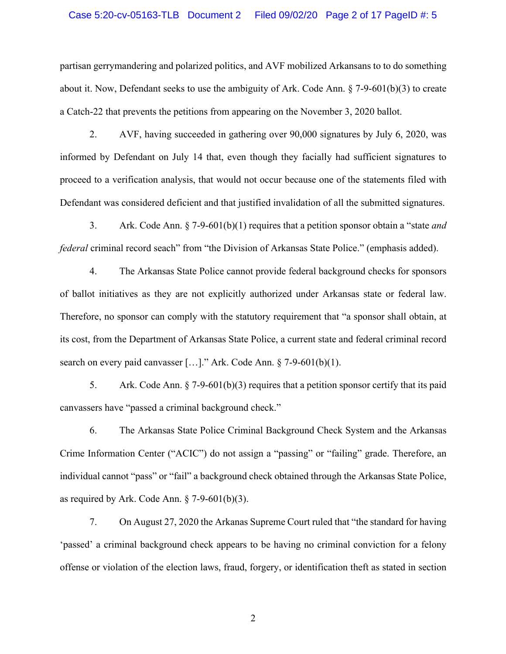## Case 5:20-cv-05163-TLB Document 2 Filed 09/02/20 Page 2 of 17 PageID #: 5

partisan gerrymandering and polarized politics, and AVF mobilized Arkansans to to do something about it. Now, Defendant seeks to use the ambiguity of Ark. Code Ann. § 7-9-601(b)(3) to create a Catch-22 that prevents the petitions from appearing on the November 3, 2020 ballot.

2. AVF, having succeeded in gathering over 90,000 signatures by July 6, 2020, was informed by Defendant on July 14 that, even though they facially had sufficient signatures to proceed to a verification analysis, that would not occur because one of the statements filed with Defendant was considered deficient and that justified invalidation of all the submitted signatures.

3. Ark. Code Ann. § 7-9-601(b)(1) requires that a petition sponsor obtain a "state *and federal* criminal record seach" from "the Division of Arkansas State Police." (emphasis added).

4. The Arkansas State Police cannot provide federal background checks for sponsors of ballot initiatives as they are not explicitly authorized under Arkansas state or federal law. Therefore, no sponsor can comply with the statutory requirement that "a sponsor shall obtain, at its cost, from the Department of Arkansas State Police, a current state and federal criminal record search on every paid canvasser [...]." Ark. Code Ann. § 7-9-601(b)(1).

5. Ark. Code Ann. § 7-9-601(b)(3) requires that a petition sponsor certify that its paid canvassers have "passed a criminal background check."

6. The Arkansas State Police Criminal Background Check System and the Arkansas Crime Information Center ("ACIC") do not assign a "passing" or "failing" grade. Therefore, an individual cannot "pass" or "fail" a background check obtained through the Arkansas State Police, as required by Ark. Code Ann.  $\S$  7-9-601(b)(3).

7. On August 27, 2020 the Arkanas Supreme Court ruled that "the standard for having 'passed' a criminal background check appears to be having no criminal conviction for a felony offense or violation of the election laws, fraud, forgery, or identification theft as stated in section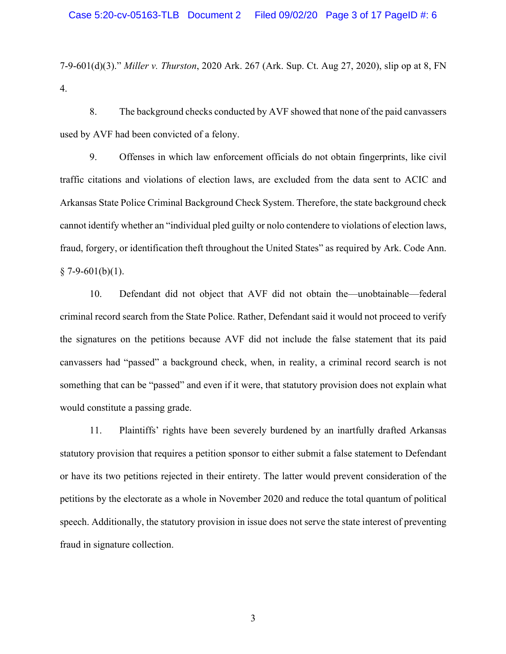7-9-601(d)(3)." *Miller v. Thurston*, 2020 Ark. 267 (Ark. Sup. Ct. Aug 27, 2020), slip op at 8, FN 4.

8. The background checks conducted by AVF showed that none of the paid canvassers used by AVF had been convicted of a felony.

9. Offenses in which law enforcement officials do not obtain fingerprints, like civil traffic citations and violations of election laws, are excluded from the data sent to ACIC and Arkansas State Police Criminal Background Check System. Therefore, the state background check cannot identify whether an "individual pled guilty or nolo contendere to violations of election laws, fraud, forgery, or identification theft throughout the United States" as required by Ark. Code Ann.  $§ 7-9-601(b)(1).$ 

10. Defendant did not object that AVF did not obtain the—unobtainable—federal criminal record search from the State Police. Rather, Defendant said it would not proceed to verify the signatures on the petitions because AVF did not include the false statement that its paid canvassers had "passed" a background check, when, in reality, a criminal record search is not something that can be "passed" and even if it were, that statutory provision does not explain what would constitute a passing grade.

11. Plaintiffs' rights have been severely burdened by an inartfully drafted Arkansas statutory provision that requires a petition sponsor to either submit a false statement to Defendant or have its two petitions rejected in their entirety. The latter would prevent consideration of the petitions by the electorate as a whole in November 2020 and reduce the total quantum of political speech. Additionally, the statutory provision in issue does not serve the state interest of preventing fraud in signature collection.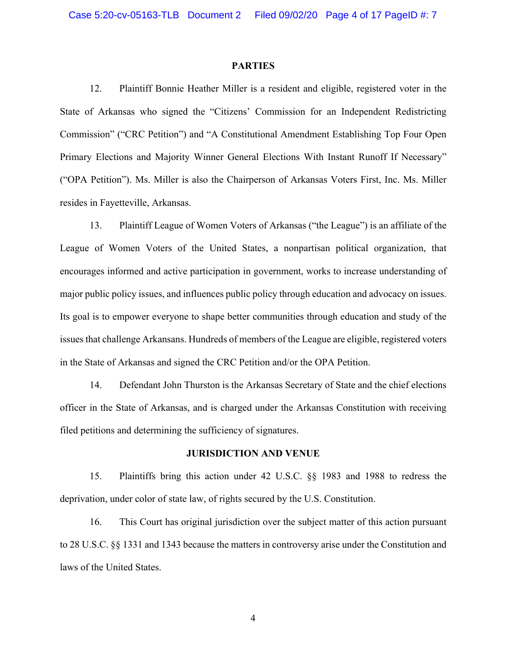#### **PARTIES**

12. Plaintiff Bonnie Heather Miller is a resident and eligible, registered voter in the State of Arkansas who signed the "Citizens' Commission for an Independent Redistricting Commission" ("CRC Petition") and "A Constitutional Amendment Establishing Top Four Open Primary Elections and Majority Winner General Elections With Instant Runoff If Necessary" ("OPA Petition"). Ms. Miller is also the Chairperson of Arkansas Voters First, Inc. Ms. Miller resides in Fayetteville, Arkansas.

13. Plaintiff League of Women Voters of Arkansas ("the League") is an affiliate of the League of Women Voters of the United States, a nonpartisan political organization, that encourages informed and active participation in government, works to increase understanding of major public policy issues, and influences public policy through education and advocacy on issues. Its goal is to empower everyone to shape better communities through education and study of the issues that challenge Arkansans. Hundreds of members of the League are eligible, registered voters in the State of Arkansas and signed the CRC Petition and/or the OPA Petition.

14. Defendant John Thurston is the Arkansas Secretary of State and the chief elections officer in the State of Arkansas, and is charged under the Arkansas Constitution with receiving filed petitions and determining the sufficiency of signatures.

#### **JURISDICTION AND VENUE**

15. Plaintiffs bring this action under 42 U.S.C. §§ 1983 and 1988 to redress the deprivation, under color of state law, of rights secured by the U.S. Constitution.

16. This Court has original jurisdiction over the subject matter of this action pursuant to 28 U.S.C. §§ 1331 and 1343 because the matters in controversy arise under the Constitution and laws of the United States.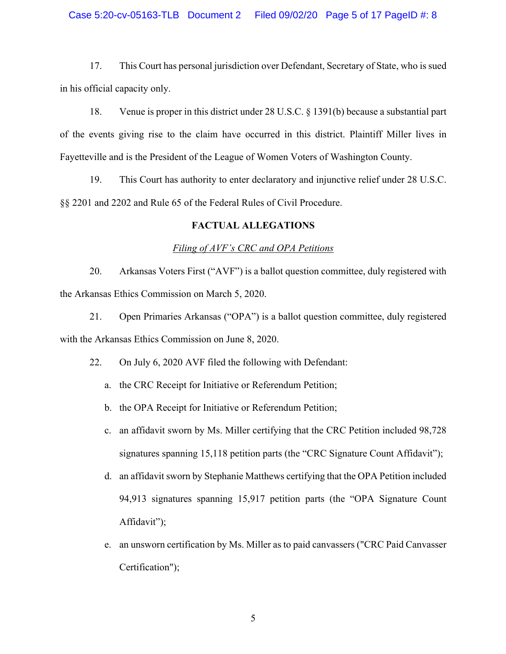#### Case 5:20-cv-05163-TLB Document 2 Filed 09/02/20 Page 5 of 17 PageID #: 8

17. This Court has personal jurisdiction over Defendant, Secretary of State, who is sued in his official capacity only.

18. Venue is proper in this district under 28 U.S.C. § 1391(b) because a substantial part of the events giving rise to the claim have occurred in this district. Plaintiff Miller lives in Fayetteville and is the President of the League of Women Voters of Washington County.

19. This Court has authority to enter declaratory and injunctive relief under 28 U.S.C. §§ 2201 and 2202 and Rule 65 of the Federal Rules of Civil Procedure.

### **FACTUAL ALLEGATIONS**

#### *Filing of AVF's CRC and OPA Petitions*

20. Arkansas Voters First ("AVF") is a ballot question committee, duly registered with the Arkansas Ethics Commission on March 5, 2020.

21. Open Primaries Arkansas ("OPA") is a ballot question committee, duly registered with the Arkansas Ethics Commission on June 8, 2020.

22. On July 6, 2020 AVF filed the following with Defendant:

- a. the CRC Receipt for Initiative or Referendum Petition;
- b. the OPA Receipt for Initiative or Referendum Petition;
- c. an affidavit sworn by Ms. Miller certifying that the CRC Petition included 98,728 signatures spanning 15,118 petition parts (the "CRC Signature Count Affidavit");
- d. an affidavit sworn by Stephanie Matthews certifying that the OPA Petition included 94,913 signatures spanning 15,917 petition parts (the "OPA Signature Count Affidavit");
- e. an unsworn certification by Ms. Miller as to paid canvassers ("CRC Paid Canvasser Certification");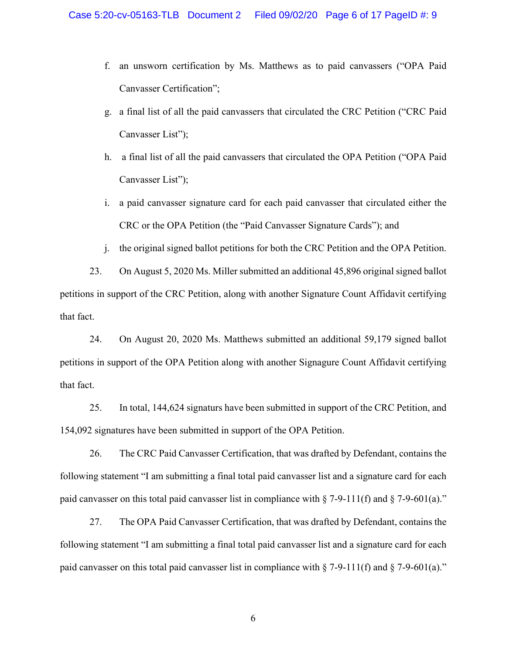- f. an unsworn certification by Ms. Matthews as to paid canvassers ("OPA Paid Canvasser Certification";
- g. a final list of all the paid canvassers that circulated the CRC Petition ("CRC Paid Canvasser List");
- h. a final list of all the paid canvassers that circulated the OPA Petition ("OPA Paid Canvasser List");
- i. a paid canvasser signature card for each paid canvasser that circulated either the CRC or the OPA Petition (the "Paid Canvasser Signature Cards"); and
- j. the original signed ballot petitions for both the CRC Petition and the OPA Petition.

23. On August 5, 2020 Ms. Miller submitted an additional 45,896 original signed ballot petitions in support of the CRC Petition, along with another Signature Count Affidavit certifying that fact.

24. On August 20, 2020 Ms. Matthews submitted an additional 59,179 signed ballot petitions in support of the OPA Petition along with another Signagure Count Affidavit certifying that fact.

25. In total, 144,624 signaturs have been submitted in support of the CRC Petition, and 154,092 signatures have been submitted in support of the OPA Petition.

26. The CRC Paid Canvasser Certification, that was drafted by Defendant, contains the following statement "I am submitting a final total paid canvasser list and a signature card for each paid canvasser on this total paid canvasser list in compliance with  $\S$  7-9-111(f) and  $\S$  7-9-601(a)."

27. The OPA Paid Canvasser Certification, that was drafted by Defendant, contains the following statement "I am submitting a final total paid canvasser list and a signature card for each paid canvasser on this total paid canvasser list in compliance with  $\S$  7-9-111(f) and  $\S$  7-9-601(a)."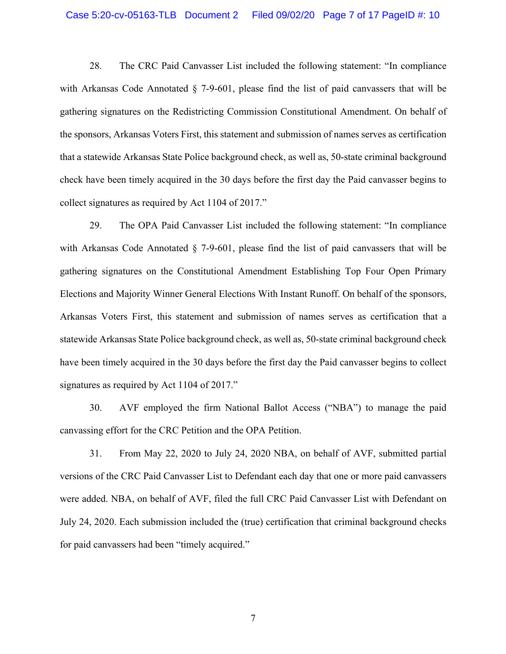28. The CRC Paid Canvasser List included the following statement: "In compliance with Arkansas Code Annotated § 7-9-601, please find the list of paid canvassers that will be gathering signatures on the Redistricting Commission Constitutional Amendment. On behalf of the sponsors, Arkansas Voters First, this statement and submission of names serves as certification that a statewide Arkansas State Police background check, as well as, 50-state criminal background check have been timely acquired in the 30 days before the first day the Paid canvasser begins to collect signatures as required by Act 1104 of 2017."

29. The OPA Paid Canvasser List included the following statement: "In compliance with Arkansas Code Annotated § 7-9-601, please find the list of paid canvassers that will be gathering signatures on the Constitutional Amendment Establishing Top Four Open Primary Elections and Majority Winner General Elections With Instant Runoff. On behalf of the sponsors, Arkansas Voters First, this statement and submission of names serves as certification that a statewide Arkansas State Police background check, as well as, 50-state criminal background check have been timely acquired in the 30 days before the first day the Paid canvasser begins to collect signatures as required by Act 1104 of 2017."

30. AVF employed the firm National Ballot Access ("NBA") to manage the paid canvassing effort for the CRC Petition and the OPA Petition.

31. From May 22, 2020 to July 24, 2020 NBA, on behalf of AVF, submitted partial versions of the CRC Paid Canvasser List to Defendant each day that one or more paid canvassers were added. NBA, on behalf of AVF, filed the full CRC Paid Canvasser List with Defendant on July 24, 2020. Each submission included the (true) certification that criminal background checks for paid canvassers had been "timely acquired."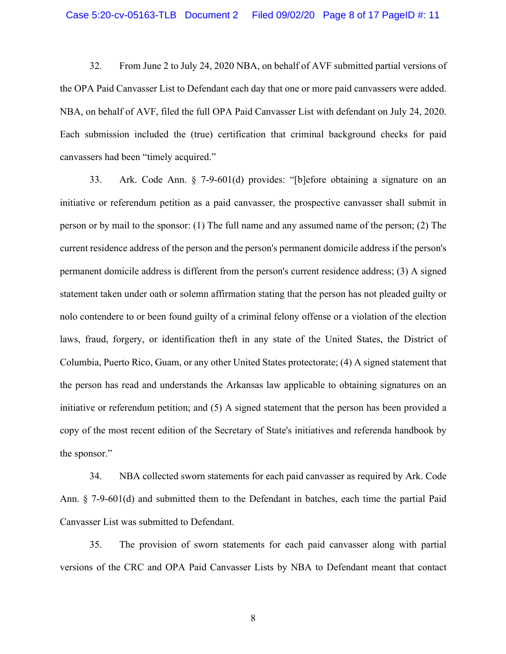32. From June 2 to July 24, 2020 NBA, on behalf of AVF submitted partial versions of the OPA Paid Canvasser List to Defendant each day that one or more paid canvassers were added. NBA, on behalf of AVF, filed the full OPA Paid Canvasser List with defendant on July 24, 2020. Each submission included the (true) certification that criminal background checks for paid canvassers had been "timely acquired."

33. Ark. Code Ann. § 7-9-601(d) provides: "[b]efore obtaining a signature on an initiative or referendum petition as a paid canvasser, the prospective canvasser shall submit in person or by mail to the sponsor: (1) The full name and any assumed name of the person; (2) The current residence address of the person and the person's permanent domicile address if the person's permanent domicile address is different from the person's current residence address; (3) A signed statement taken under oath or solemn affirmation stating that the person has not pleaded guilty or nolo contendere to or been found guilty of a criminal felony offense or a violation of the election laws, fraud, forgery, or identification theft in any state of the United States, the District of Columbia, Puerto Rico, Guam, or any other United States protectorate; (4) A signed statement that the person has read and understands the Arkansas law applicable to obtaining signatures on an initiative or referendum petition; and (5) A signed statement that the person has been provided a copy of the most recent edition of the Secretary of State's initiatives and referenda handbook by the sponsor."

34. NBA collected sworn statements for each paid canvasser as required by Ark. Code Ann. § 7-9-601(d) and submitted them to the Defendant in batches, each time the partial Paid Canvasser List was submitted to Defendant.

35. The provision of sworn statements for each paid canvasser along with partial versions of the CRC and OPA Paid Canvasser Lists by NBA to Defendant meant that contact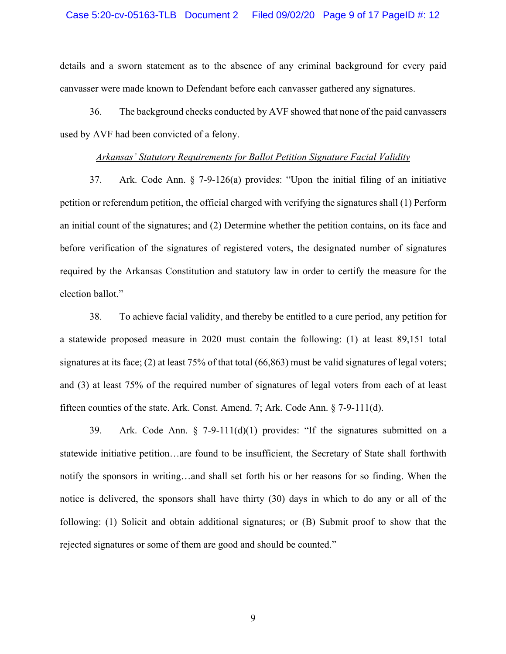details and a sworn statement as to the absence of any criminal background for every paid canvasser were made known to Defendant before each canvasser gathered any signatures.

36. The background checks conducted by AVF showed that none of the paid canvassers used by AVF had been convicted of a felony.

## *Arkansas' Statutory Requirements for Ballot Petition Signature Facial Validity*

37. Ark. Code Ann. § 7-9-126(a) provides: "Upon the initial filing of an initiative petition or referendum petition, the official charged with verifying the signatures shall (1) Perform an initial count of the signatures; and (2) Determine whether the petition contains, on its face and before verification of the signatures of registered voters, the designated number of signatures required by the Arkansas Constitution and statutory law in order to certify the measure for the election ballot."

38. To achieve facial validity, and thereby be entitled to a cure period, any petition for a statewide proposed measure in 2020 must contain the following: (1) at least 89,151 total signatures at its face; (2) at least 75% of that total (66,863) must be valid signatures of legal voters; and (3) at least 75% of the required number of signatures of legal voters from each of at least fifteen counties of the state. Ark. Const. Amend. 7; Ark. Code Ann. § 7-9-111(d).

39. Ark. Code Ann. § 7-9-111(d)(1) provides: "If the signatures submitted on a statewide initiative petition…are found to be insufficient, the Secretary of State shall forthwith notify the sponsors in writing…and shall set forth his or her reasons for so finding. When the notice is delivered, the sponsors shall have thirty (30) days in which to do any or all of the following: (1) Solicit and obtain additional signatures; or (B) Submit proof to show that the rejected signatures or some of them are good and should be counted."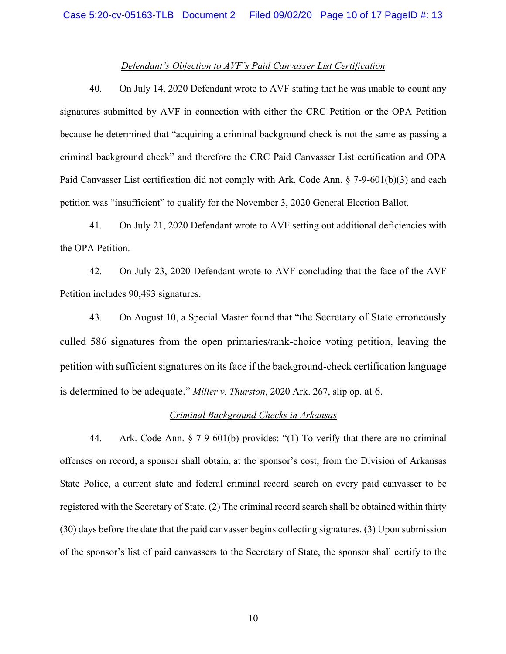#### *Defendant's Objection to AVF's Paid Canvasser List Certification*

40. On July 14, 2020 Defendant wrote to AVF stating that he was unable to count any signatures submitted by AVF in connection with either the CRC Petition or the OPA Petition because he determined that "acquiring a criminal background check is not the same as passing a criminal background check" and therefore the CRC Paid Canvasser List certification and OPA Paid Canvasser List certification did not comply with Ark. Code Ann. § 7-9-601(b)(3) and each petition was "insufficient" to qualify for the November 3, 2020 General Election Ballot.

41. On July 21, 2020 Defendant wrote to AVF setting out additional deficiencies with the OPA Petition.

42. On July 23, 2020 Defendant wrote to AVF concluding that the face of the AVF Petition includes 90,493 signatures.

43. On August 10, a Special Master found that "the Secretary of State erroneously culled 586 signatures from the open primaries/rank-choice voting petition, leaving the petition with sufficient signatures on its face if the background-check certification language is determined to be adequate." *Miller v. Thurston*, 2020 Ark. 267, slip op. at 6.

#### *Criminal Background Checks in Arkansas*

44. Ark. Code Ann. § 7-9-601(b) provides: "(1) To verify that there are no criminal offenses on record, a sponsor shall obtain, at the sponsor's cost, from the Division of Arkansas State Police, a current state and federal criminal record search on every paid canvasser to be registered with the Secretary of State. (2) The criminal record search shall be obtained within thirty (30) days before the date that the paid canvasser begins collecting signatures. (3) Upon submission of the sponsor's list of paid canvassers to the Secretary of State, the sponsor shall certify to the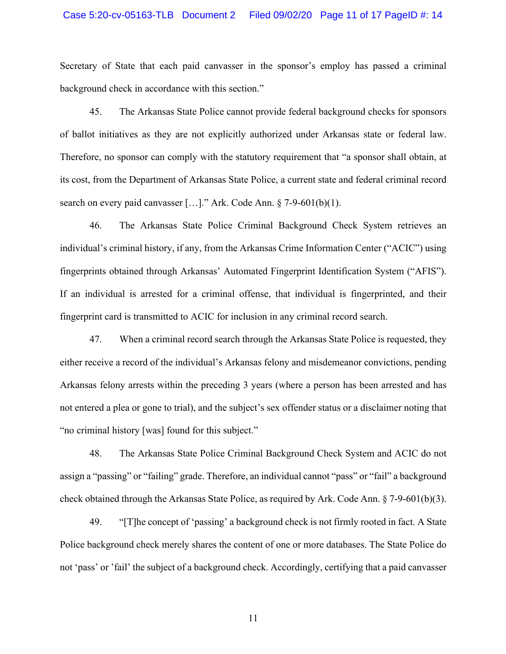## Case 5:20-cv-05163-TLB Document 2 Filed 09/02/20 Page 11 of 17 PageID #: 14

Secretary of State that each paid canvasser in the sponsor's employ has passed a criminal background check in accordance with this section."

45. The Arkansas State Police cannot provide federal background checks for sponsors of ballot initiatives as they are not explicitly authorized under Arkansas state or federal law. Therefore, no sponsor can comply with the statutory requirement that "a sponsor shall obtain, at its cost, from the Department of Arkansas State Police, a current state and federal criminal record search on every paid canvasser [...]." Ark. Code Ann. § 7-9-601(b)(1).

46. The Arkansas State Police Criminal Background Check System retrieves an individual's criminal history, if any, from the Arkansas Crime Information Center ("ACIC") using fingerprints obtained through Arkansas' Automated Fingerprint Identification System ("AFIS"). If an individual is arrested for a criminal offense, that individual is fingerprinted, and their fingerprint card is transmitted to ACIC for inclusion in any criminal record search.

47. When a criminal record search through the Arkansas State Police is requested, they either receive a record of the individual's Arkansas felony and misdemeanor convictions, pending Arkansas felony arrests within the preceding 3 years (where a person has been arrested and has not entered a plea or gone to trial), and the subject's sex offender status or a disclaimer noting that "no criminal history [was] found for this subject."

48. The Arkansas State Police Criminal Background Check System and ACIC do not assign a "passing" or "failing" grade. Therefore, an individual cannot "pass" or "fail" a background check obtained through the Arkansas State Police, as required by Ark. Code Ann. § 7-9-601(b)(3).

49. "[T]he concept of 'passing' a background check is not firmly rooted in fact. A State Police background check merely shares the content of one or more databases. The State Police do not 'pass' or 'fail' the subject of a background check. Accordingly, certifying that a paid canvasser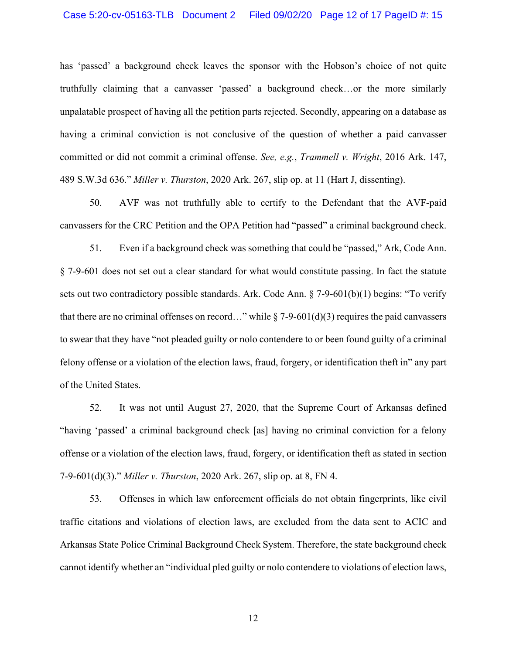has 'passed' a background check leaves the sponsor with the Hobson's choice of not quite truthfully claiming that a canvasser 'passed' a background check…or the more similarly unpalatable prospect of having all the petition parts rejected. Secondly, appearing on a database as having a criminal conviction is not conclusive of the question of whether a paid canvasser committed or did not commit a criminal offense. *See, e.g.*, *Trammell v. Wright*, 2016 Ark. 147, 489 S.W.3d 636." *Miller v. Thurston*, 2020 Ark. 267, slip op. at 11 (Hart J, dissenting).

50. AVF was not truthfully able to certify to the Defendant that the AVF-paid canvassers for the CRC Petition and the OPA Petition had "passed" a criminal background check.

51. Even if a background check was something that could be "passed," Ark, Code Ann. § 7-9-601 does not set out a clear standard for what would constitute passing. In fact the statute sets out two contradictory possible standards. Ark. Code Ann. § 7-9-601(b)(1) begins: "To verify that there are no criminal offenses on record..." while  $\S 7-9-601(d)(3)$  requires the paid canvassers to swear that they have "not pleaded guilty or nolo contendere to or been found guilty of a criminal felony offense or a violation of the election laws, fraud, forgery, or identification theft in" any part of the United States.

52. It was not until August 27, 2020, that the Supreme Court of Arkansas defined "having 'passed' a criminal background check [as] having no criminal conviction for a felony offense or a violation of the election laws, fraud, forgery, or identification theft as stated in section 7-9-601(d)(3)." *Miller v. Thurston*, 2020 Ark. 267, slip op. at 8, FN 4.

53. Offenses in which law enforcement officials do not obtain fingerprints, like civil traffic citations and violations of election laws, are excluded from the data sent to ACIC and Arkansas State Police Criminal Background Check System. Therefore, the state background check cannot identify whether an "individual pled guilty or nolo contendere to violations of election laws,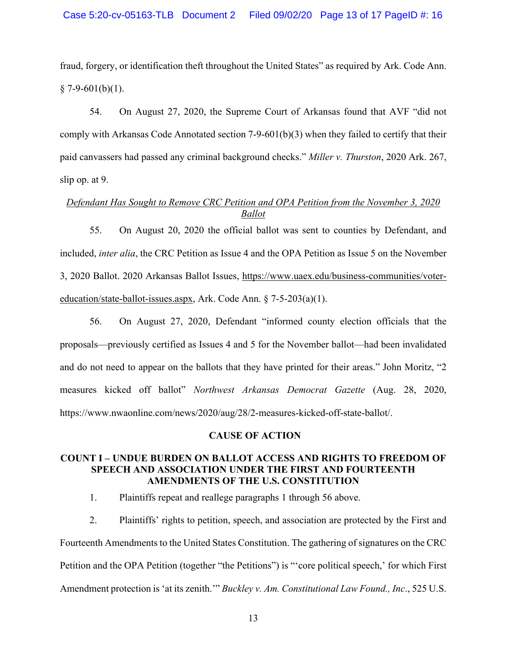fraud, forgery, or identification theft throughout the United States" as required by Ark. Code Ann.  $§ 7-9-601(b)(1).$ 

54. On August 27, 2020, the Supreme Court of Arkansas found that AVF "did not comply with Arkansas Code Annotated section 7-9-601(b)(3) when they failed to certify that their paid canvassers had passed any criminal background checks." *Miller v. Thurston*, 2020 Ark. 267, slip op. at 9.

# *Defendant Has Sought to Remove CRC Petition and OPA Petition from the November 3, 2020 Ballot*

55. On August 20, 2020 the official ballot was sent to counties by Defendant, and included, *inter alia*, the CRC Petition as Issue 4 and the OPA Petition as Issue 5 on the November 3, 2020 Ballot. 2020 Arkansas Ballot Issues, https://www.uaex.edu/business-communities/votereducation/state-ballot-issues.aspx, Ark. Code Ann. § 7-5-203(a)(1).

56. On August 27, 2020, Defendant "informed county election officials that the proposals—previously certified as Issues 4 and 5 for the November ballot—had been invalidated and do not need to appear on the ballots that they have printed for their areas." John Moritz, "2 measures kicked off ballot" *Northwest Arkansas Democrat Gazette* (Aug. 28, 2020, https://www.nwaonline.com/news/2020/aug/28/2-measures-kicked-off-state-ballot/.

## **CAUSE OF ACTION**

# **COUNT I – UNDUE BURDEN ON BALLOT ACCESS AND RIGHTS TO FREEDOM OF SPEECH AND ASSOCIATION UNDER THE FIRST AND FOURTEENTH AMENDMENTS OF THE U.S. CONSTITUTION**

1. Plaintiffs repeat and reallege paragraphs 1 through 56 above.

2. Plaintiffs' rights to petition, speech, and association are protected by the First and Fourteenth Amendments to the United States Constitution. The gathering of signatures on the CRC Petition and the OPA Petition (together "the Petitions") is "'core political speech,' for which First Amendment protection is 'at its zenith.'" *Buckley v. Am. Constitutional Law Found., Inc*., 525 U.S.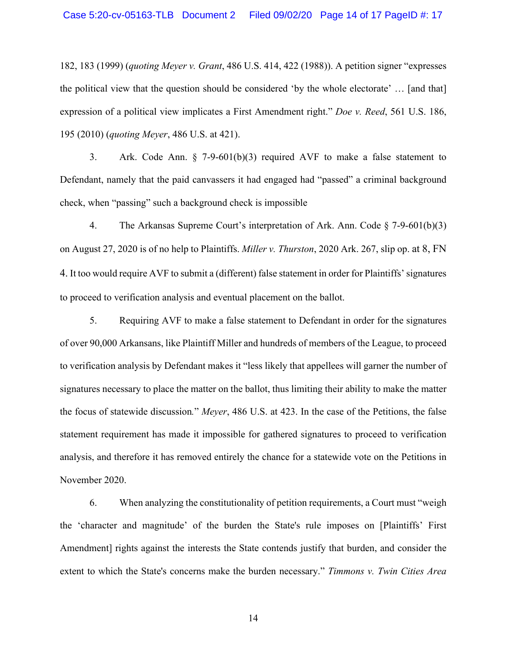182, 183 (1999) (*quoting Meyer v. Grant*, 486 U.S. 414, 422 (1988)). A petition signer "expresses the political view that the question should be considered 'by the whole electorate' … [and that] expression of a political view implicates a First Amendment right." *Doe v. Reed*, 561 U.S. 186, 195 (2010) (*quoting Meyer*, 486 U.S. at 421).

3. Ark. Code Ann. § 7-9-601(b)(3) required AVF to make a false statement to Defendant, namely that the paid canvassers it had engaged had "passed" a criminal background check, when "passing" such a background check is impossible

4. The Arkansas Supreme Court's interpretation of Ark. Ann. Code § 7-9-601(b)(3) on August 27, 2020 is of no help to Plaintiffs. *Miller v. Thurston*, 2020 Ark. 267, slip op. at 8, FN 4. It too would require AVF to submit a (different) false statement in order for Plaintiffs' signatures to proceed to verification analysis and eventual placement on the ballot.

5. Requiring AVF to make a false statement to Defendant in order for the signatures of over 90,000 Arkansans, like Plaintiff Miller and hundreds of members of the League, to proceed to verification analysis by Defendant makes it "less likely that appellees will garner the number of signatures necessary to place the matter on the ballot, thus limiting their ability to make the matter the focus of statewide discussion*.*" *Meyer*, 486 U.S. at 423. In the case of the Petitions, the false statement requirement has made it impossible for gathered signatures to proceed to verification analysis, and therefore it has removed entirely the chance for a statewide vote on the Petitions in November 2020.

6. When analyzing the constitutionality of petition requirements, a Court must "weigh the 'character and magnitude' of the burden the State's rule imposes on [Plaintiffs' First Amendment] rights against the interests the State contends justify that burden, and consider the extent to which the State's concerns make the burden necessary." *Timmons v. Twin Cities Area*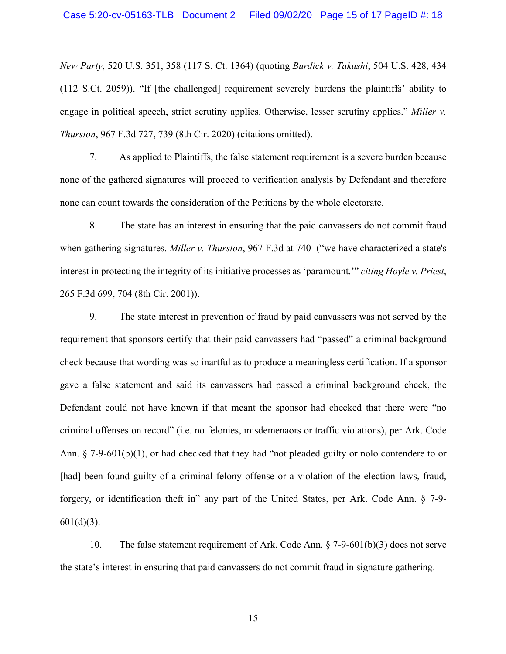*New Party*, 520 U.S. 351, 358 (117 S. Ct. 1364) (quoting *Burdick v. Takushi*, 504 U.S. 428, 434 (112 S.Ct. 2059)). "If [the challenged] requirement severely burdens the plaintiffs' ability to engage in political speech, strict scrutiny applies. Otherwise, lesser scrutiny applies." *Miller v. Thurston*, 967 F.3d 727, 739 (8th Cir. 2020) (citations omitted).

7. As applied to Plaintiffs, the false statement requirement is a severe burden because none of the gathered signatures will proceed to verification analysis by Defendant and therefore none can count towards the consideration of the Petitions by the whole electorate.

8. The state has an interest in ensuring that the paid canvassers do not commit fraud when gathering signatures. *Miller v. Thurston*, 967 F.3d at 740 ("we have characterized a state's interest in protecting the integrity of its initiative processes as 'paramount.'" *citing Hoyle v. Priest*, 265 F.3d 699, 704 (8th Cir. 2001)).

9. The state interest in prevention of fraud by paid canvassers was not served by the requirement that sponsors certify that their paid canvassers had "passed" a criminal background check because that wording was so inartful as to produce a meaningless certification. If a sponsor gave a false statement and said its canvassers had passed a criminal background check, the Defendant could not have known if that meant the sponsor had checked that there were "no criminal offenses on record" (i.e. no felonies, misdemenaors or traffic violations), per Ark. Code Ann. § 7-9-601(b)(1), or had checked that they had "not pleaded guilty or nolo contendere to or [had] been found guilty of a criminal felony offense or a violation of the election laws, fraud, forgery, or identification theft in" any part of the United States, per Ark. Code Ann. § 7-9-  $601(d)(3)$ .

10. The false statement requirement of Ark. Code Ann. § 7-9-601(b)(3) does not serve the state's interest in ensuring that paid canvassers do not commit fraud in signature gathering.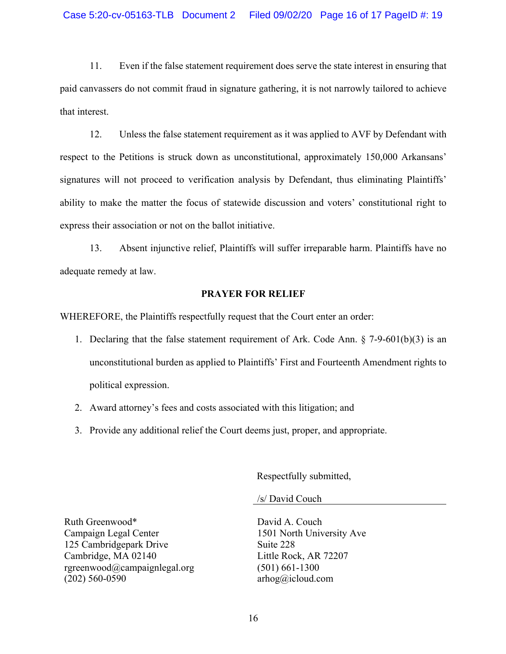11. Even if the false statement requirement does serve the state interest in ensuring that paid canvassers do not commit fraud in signature gathering, it is not narrowly tailored to achieve that interest.

12. Unless the false statement requirement as it was applied to AVF by Defendant with respect to the Petitions is struck down as unconstitutional, approximately 150,000 Arkansans' signatures will not proceed to verification analysis by Defendant, thus eliminating Plaintiffs' ability to make the matter the focus of statewide discussion and voters' constitutional right to express their association or not on the ballot initiative.

13. Absent injunctive relief, Plaintiffs will suffer irreparable harm. Plaintiffs have no adequate remedy at law.

## **PRAYER FOR RELIEF**

WHEREFORE, the Plaintiffs respectfully request that the Court enter an order:

- 1. Declaring that the false statement requirement of Ark. Code Ann. § 7-9-601(b)(3) is an unconstitutional burden as applied to Plaintiffs' First and Fourteenth Amendment rights to political expression.
- 2. Award attorney's fees and costs associated with this litigation; and
- 3. Provide any additional relief the Court deems just, proper, and appropriate.

Respectfully submitted,

/s/ David Couch

Ruth Greenwood\* Campaign Legal Center 125 Cambridgepark Drive Cambridge, MA 02140 rgreenwood@campaignlegal.org (202) 560-0590

David A. Couch 1501 North University Ave Suite 228 Little Rock, AR 72207 (501) 661-1300 arhog@icloud.com